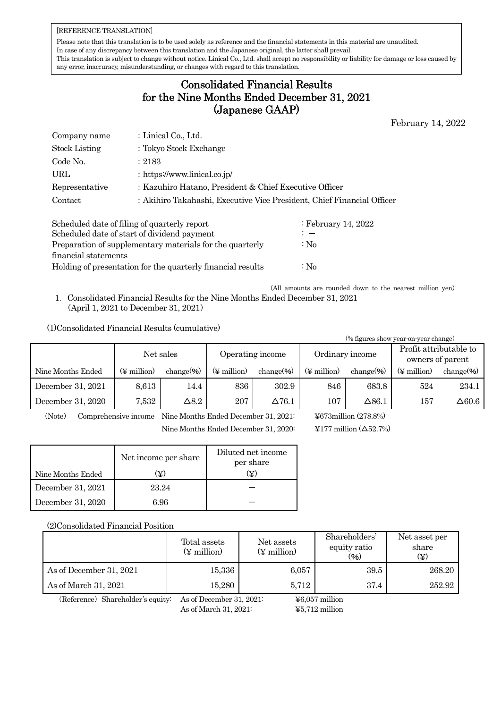## [REFERENCE TRANSLATION]

Please note that this translation is to be used solely as reference and the financial statements in this material are unaudited. In case of any discrepancy between this translation and the Japanese original, the latter shall prevail. This translation is subject to change without notice. Linical Co., Ltd. shall accept no responsibility or liability for damage or loss caused by any error, inaccuracy, misunderstanding, or changes with regard to this translation.

## Consolidated Financial Results for the Nine Months Ended December 31, 2021 (Japanese GAAP)

February 14, 2022

| Company name         | : Linical Co., Ltd.                                                    |
|----------------------|------------------------------------------------------------------------|
| <b>Stock Listing</b> | : Tokyo Stock Exchange                                                 |
| Code No.             | :2183                                                                  |
| URL                  | : https://www.linical.co.jp/                                           |
| Representative       | : Kazuhiro Hatano, President & Chief Executive Officer                 |
| Contact              | : Akihiro Takahashi, Executive Vice President, Chief Financial Officer |

| Scheduled date of filing of quarterly report                | : February 14, 2022 |
|-------------------------------------------------------------|---------------------|
| Scheduled date of start of dividend payment                 | $\mathbf{r}$        |
| Preparation of supplementary materials for the quarterly    | $\therefore$ No     |
| financial statements                                        |                     |
| Holding of presentation for the quarterly financial results | $\therefore$ No     |
|                                                             |                     |

(All amounts are rounded down to the nearest million yen) 1.Consolidated Financial Results for the Nine Months Ended December 31, 2021 (April 1, 2021 to December 31, 2021)

## (1)Consolidated Financial Results (cumulative)

| (% figures show year on year change) |                         |                |                         |               |             |               |             |                 |  |                                            |
|--------------------------------------|-------------------------|----------------|-------------------------|---------------|-------------|---------------|-------------|-----------------|--|--------------------------------------------|
|                                      | Net sales               |                | Operating income        |               |             |               |             | Ordinary income |  | Profit attributable to<br>owners of parent |
| Nine Months Ended                    | $(\frac{1}{2}$ million) | change $(\% )$ | $(\frac{1}{2}$ million) | $change$ %)   | (¥ million) | $change$ %)   | (¥ million) | change $(\% )$  |  |                                            |
| December 31, 2021                    | 8,613                   | 14.4           | 836                     | 302.9         | 846         | 683.8         | 524         | 234.1           |  |                                            |
| December 31, 2020                    | 7.532                   | $\Delta 8.2$   | 207                     | $\Delta 76.1$ | 107         | $\Delta 86.1$ | 157         | $\Delta 60.6$   |  |                                            |

(Note) Comprehensive income Nine Months Ended December 31, 2021: ¥673million (278.8%)

Nine Months Ended December 31, 2020: ¥177 million (△52.7%)

|                   | Net income per share | Diluted net income<br>per share |
|-------------------|----------------------|---------------------------------|
| Nine Months Ended | (¥)                  | Œ)                              |
| December 31, 2021 | 23.24                |                                 |
| December 31, 2020 | 6.96                 |                                 |

(2)Consolidated Financial Position

|                         | Total assets<br>$(\frac{1}{2}$ million) | Net assets<br>$(\frac{1}{2}$ million) | Shareholders'<br>equity ratio<br>$(\%)$ | Net asset per<br>share |  |
|-------------------------|-----------------------------------------|---------------------------------------|-----------------------------------------|------------------------|--|
| As of December 31, 2021 | 15,336                                  | 6,057                                 | 39.5                                    | 268.20                 |  |
| As of March 31, 2021    | 15,280                                  | 5.712                                 | 37.4                                    | 252.92                 |  |

(Reference) Shareholder's equity: As of December 31, 2021: ¥6,057 million

As of March 31, 2021: ¥5,712 million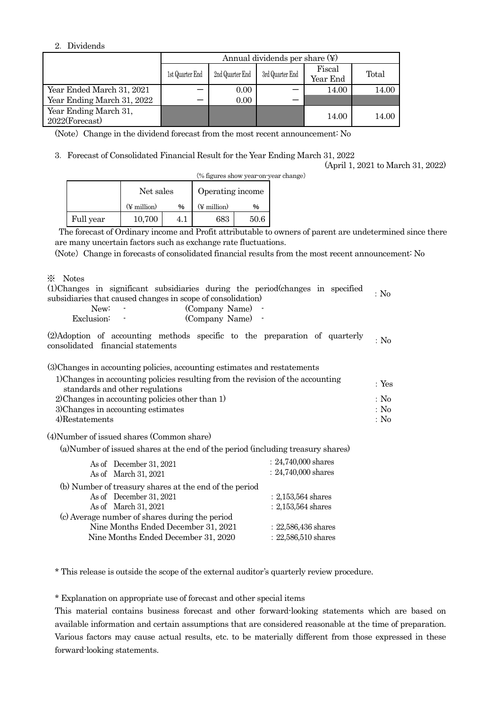## 2.Dividends

|                                            | Annual dividends per share $(\nabla)$ |                 |                 |                    |       |  |  |  |
|--------------------------------------------|---------------------------------------|-----------------|-----------------|--------------------|-------|--|--|--|
|                                            | 1st Quarter End                       | 2nd Quarter End | 3rd Quarter End | Fiscal<br>Year End | Total |  |  |  |
| Year Ended March 31, 2021                  |                                       | 0.00            |                 | 14.00              | 14.00 |  |  |  |
| Year Ending March 31, 2022                 |                                       | 0.00            |                 |                    |       |  |  |  |
| Year Ending March 31,<br>$2022$ (Forecast) |                                       |                 |                 | 14.00              | 14.00 |  |  |  |

(Note) Change in the dividend forecast from the most recent announcement: No

3.Forecast of Consolidated Financial Result for the Year Ending March 31, 2022

(April 1, 2021 to March 31, 2022)

|           |                              | (% figures show year-on-year change) |                  |      |  |
|-----------|------------------------------|--------------------------------------|------------------|------|--|
|           | Net sales                    |                                      | Operating income |      |  |
|           | $(\frac{1}{2}$ million)<br>% |                                      | (¥ million)      | %    |  |
| Full year | 10,700                       | 4.1                                  | 683              | 50.6 |  |

The forecast of Ordinary income and Profit attributable to owners of parent are undetermined since there are many uncertain factors such as exchange rate fluctuations.

(Note) Change in forecasts of consolidated financial results from the most recent announcement: No

※ Notes

|  |                                                            |  | (1) Changes in significant subsidiaries during the period (changes in specified |  | $\Delta$ No |
|--|------------------------------------------------------------|--|---------------------------------------------------------------------------------|--|-------------|
|  | subsidiaries that caused changes in scope of consolidation |  |                                                                                 |  |             |

| New:       | (Company Name) |  |
|------------|----------------|--|
| Exclusion: | (Company Name) |  |

(2)Adoption of accounting methods specific to the preparation of quarterly consolidated financial statements :No

(3)Changes in accounting policies, accounting estimates and restatements

| 1) Changes in accounting policies resulting from the revision of the accounting | $\cdot$ Yes |
|---------------------------------------------------------------------------------|-------------|
| standards and other regulations                                                 |             |
| 2) Changes in accounting policies other than 1)                                 | : No        |
| 3) Changes in accounting estimates                                              | : No        |
| 4)Restatements                                                                  | : No        |

(4)Number of issued shares (Common share)

(a)Number of issued shares at the end of the period (including treasury shares)

| As of December 31, 2021<br>As of March 31, 2021        | $: 24,740,000$ shares<br>$: 24,740,000$ shares |
|--------------------------------------------------------|------------------------------------------------|
| (b) Number of treasury shares at the end of the period |                                                |
| As of December 31, 2021                                | $: 2,153,564$ shares                           |
| As of March 31, 2021                                   | $: 2,153,564$ shares                           |
| (c) Average number of shares during the period         |                                                |
| Nine Months Ended December 31, 2021                    | $: 22,586,436$ shares                          |
| Nine Months Ended December 31, 2020                    | $: 22,586,510$ shares                          |
|                                                        |                                                |

\* This release is outside the scope of the external auditor's quarterly review procedure.

\* Explanation on appropriate use of forecast and other special items

This material contains business forecast and other forward-looking statements which are based on available information and certain assumptions that are considered reasonable at the time of preparation. Various factors may cause actual results, etc. to be materially different from those expressed in these forward-looking statements.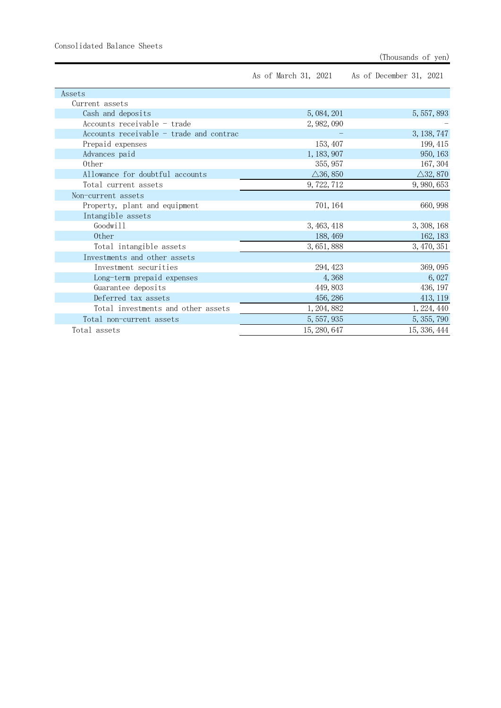|  | As of March 31, 2021 | As of December 31, 2021 |  |  |
|--|----------------------|-------------------------|--|--|
|--|----------------------|-------------------------|--|--|

| Assets                                  |                     |                     |
|-----------------------------------------|---------------------|---------------------|
| Current assets                          |                     |                     |
| Cash and deposits                       | 5, 084, 201         | 5, 557, 893         |
| Accounts receivable - trade             | 2, 982, 090         |                     |
| Accounts receivable - trade and contrac |                     | 3, 138, 747         |
| Prepaid expenses                        | 153, 407            | 199, 415            |
| Advances paid                           | 1, 183, 907         | 950, 163            |
| 0ther                                   | 355, 957            | 167, 304            |
| Allowance for doubtful accounts         | $\triangle$ 36, 850 | $\triangle$ 32, 870 |
| Total current assets                    | 9, 722, 712         | 9, 980, 653         |
| Non-current assets                      |                     |                     |
| Property, plant and equipment           | 701, 164            | 660, 998            |
| Intangible assets                       |                     |                     |
| Goodwill                                | 3, 463, 418         | 3, 308, 168         |
| 0ther                                   | 188, 469            | 162, 183            |
| Total intangible assets                 | 3, 651, 888         | 3, 470, 351         |
| Investments and other assets            |                     |                     |
| Investment securities                   | 294, 423            | 369,095             |
| Long-term prepaid expenses              | 4,368               | 6,027               |
| Guarantee deposits                      | 449, 803            | 436, 197            |
| Deferred tax assets                     | 456, 286            | 413, 119            |
| Total investments and other assets      | 1, 204, 882         | 1, 224, 440         |
| Total non-current assets                | 5, 557, 935         | 5, 355, 790         |
| Total assets                            | 15, 280, 647        | 15, 336, 444        |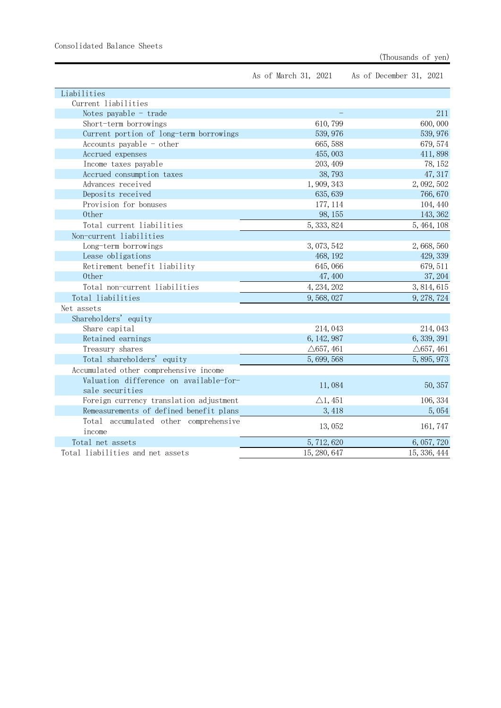Consolidated Balance Sheets

As of March 31, 2021 As of December 31, 2021

|                      | 211                             |
|----------------------|---------------------------------|
| 610,799              | 600,000                         |
| 539, 976             | 539, 976                        |
| 665, 588             | 679, 574                        |
| 455,003              | 411,898                         |
| 203, 409             | 78, 152                         |
| 38,793               | 47, 317                         |
| 1,909,343            | 2,092,502                       |
| 635, 639             | 766,670                         |
| 177, 114             | 104, 440                        |
| 98, 155              | 143, 362                        |
| 5, 333, 824          | 5, 464, 108                     |
|                      |                                 |
| 3,073,542            | 2,668,560                       |
| 468, 192             | 429, 339                        |
| 645,066              | 679, 511                        |
| 47,400               | 37, 204                         |
| 4, 234, 202          | 3, 814, 615                     |
| 9,568,027            | 9, 278, 724                     |
|                      |                                 |
|                      |                                 |
| 214,043              | 214,043                         |
| 6, 142, 987          | 6, 339, 391                     |
| $\triangle$ 657, 461 | $\triangle$ 657, 461            |
| 5,699,568            | 5, 895, 973                     |
|                      |                                 |
|                      |                                 |
|                      | 50, 357                         |
| $\triangle$ 1, 451   | 106, 334                        |
| 3, 418               | 5,054                           |
|                      |                                 |
|                      | 161, 747                        |
|                      | 6, 057, 720                     |
| 15, 280, 647         | 15, 336, 444                    |
|                      | 11,084<br>13,052<br>5, 712, 620 |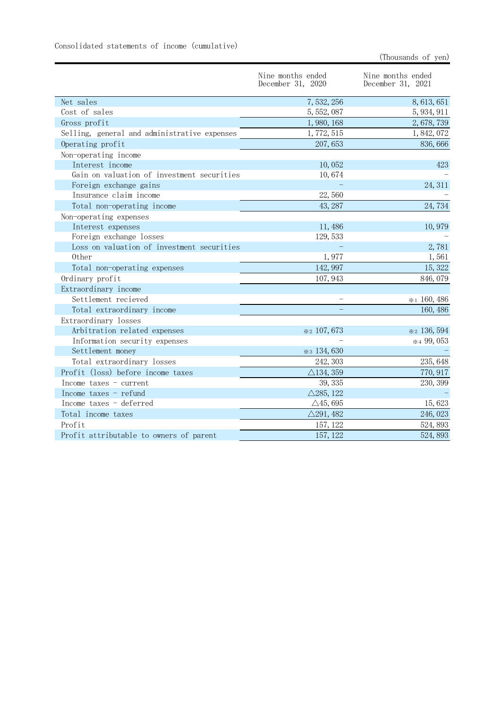| Consolidated statements of income (cumulative) |  |
|------------------------------------------------|--|
|------------------------------------------------|--|

|                                              | Nine months ended<br>December 31, 2020 | Nine months ended<br>December 31, 2021 |
|----------------------------------------------|----------------------------------------|----------------------------------------|
| Net sales                                    | 7,532,256                              | 8, 613, 651                            |
| Cost of sales                                | 5, 552, 087                            | 5, 934, 911                            |
| Gross profit                                 | 1,980,168                              | 2,678,739                              |
| Selling, general and administrative expenses | 1,772,515                              | 1,842,072                              |
| Operating profit                             | 207,653                                | 836, 666                               |
| Non-operating income                         |                                        |                                        |
| Interest income                              | 10,052                                 | 423                                    |
| Gain on valuation of investment securities   | 10,674                                 |                                        |
| Foreign exchange gains                       |                                        | 24, 311                                |
| Insurance claim income                       | 22,560                                 |                                        |
| Total non-operating income                   | 43, 287                                | 24,734                                 |
| Non-operating expenses                       |                                        |                                        |
| Interest expenses                            | 11,486                                 | 10,979                                 |
| Foreign exchange losses                      | 129, 533                               |                                        |
| Loss on valuation of investment securities   |                                        | 2,781                                  |
| 0ther                                        | 1,977                                  | 1,561                                  |
| Total non-operating expenses                 | 142, 997                               | 15, 322                                |
| Ordinary profit                              | 107, 943                               | 846,079                                |
| Extraordinary income                         |                                        |                                        |
| Settlement recieved                          |                                        | *1 160,486                             |
| Total extraordinary income                   |                                        | 160, 486                               |
| Extraordinary losses                         |                                        |                                        |
| Arbitration related expenses                 | * 2 107,673                            | * 2 136, 594                           |
| Information security expenses                |                                        | * 499,053                              |
| Settlement money                             | $*3 134, 630$                          |                                        |
| Total extraordinary losses                   | 242, 303                               | 235, 648                               |
| Profit (loss) before income taxes            | $\triangle$ 134, 359                   | 770, 917                               |
| Income taxes $-$ current                     | 39, 335                                | 230, 399                               |
| Income taxes $-$ refund                      | $\triangle$ 285, 122                   |                                        |
| Income taxes - deferred                      | $\triangle$ 45, 695                    | 15,623                                 |
| Total income taxes                           | $\triangle$ 291, 482                   | 246,023                                |
| Profit                                       | 157, 122                               | 524, 893                               |
| Profit attributable to owners of parent      | 157, 122                               | 524, 893                               |